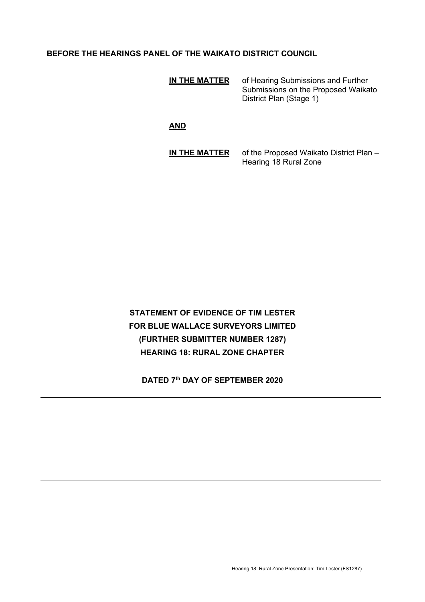# **BEFORE THE HEARINGS PANEL OF THE WAIKATO DISTRICT COUNCIL**

| IN THE MATTER | of Hearing Submissions and Further<br>Submissions on the Proposed Waikato<br>District Plan (Stage 1) |
|---------------|------------------------------------------------------------------------------------------------------|
|               |                                                                                                      |

**AND**

**IN THE MATTER** of the Proposed Waikato District Plan – Hearing 18 Rural Zone

# **STATEMENT OF EVIDENCE OF TIM LESTER FOR BLUE WALLACE SURVEYORS LIMITED (FURTHER SUBMITTER NUMBER 1287) HEARING 18: RURAL ZONE CHAPTER**

**DATED 7th DAY OF SEPTEMBER 2020**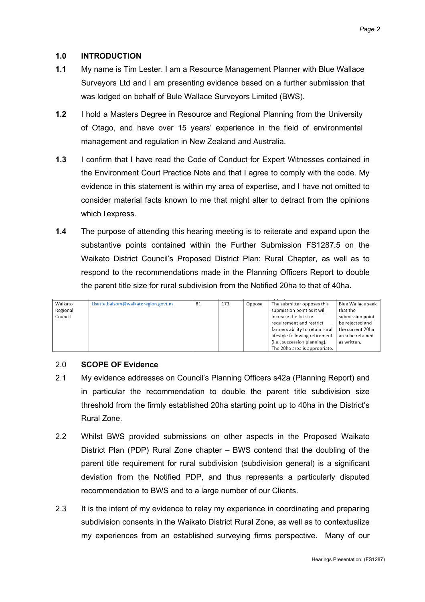# **1.0 INTRODUCTION**

- **1.1** My name is Tim Lester. I am a Resource Management Planner with Blue Wallace Surveyors Ltd and I am presenting evidence based on a further submission that was lodged on behalf of Bule Wallace Surveyors Limited (BWS).
- **1.2** I hold a Masters Degree in Resource and Regional Planning from the University of Otago, and have over 15 years' experience in the field of environmental management and regulation in New Zealand and Australia.
- **1.3** I confirm that I have read the Code of Conduct for Expert Witnesses contained in the Environment Court Practice Note and that I agree to comply with the code. My evidence in this statement is within my area of expertise, and I have not omitted to consider material facts known to me that might alter to detract from the opinions which I express.
- **1.4** The purpose of attending this hearing meeting is to reiterate and expand upon the substantive points contained within the Further Submission FS1287.5 on the Waikato District Council's Proposed District Plan: Rural Chapter, as well as to respond to the recommendations made in the Planning Officers Report to double the parent title size for rural subdivision from the Notified 20ha to that of 40ha.

| Waikato  | Lisette.balsom@waikatoregion.govt.nz | 81 | 173 | Oppose | The submitter opposes this      | Blue Wallace seek |
|----------|--------------------------------------|----|-----|--------|---------------------------------|-------------------|
| Regional |                                      |    |     |        | submission point as it will     | that the          |
| Council  |                                      |    |     |        | increase the lot size           | submission point  |
|          |                                      |    |     |        | requirement and restrict        | be rejected and   |
|          |                                      |    |     |        | farmers ability to retain rural | the current 20ha  |
|          |                                      |    |     |        | lifestyle following retirement  | area be retained  |
|          |                                      |    |     |        | (i.e., succession planning).    | as written.       |
|          |                                      |    |     |        | The 20ha area is appropriate.   |                   |

# 2.0 **SCOPE OF Evidence**

- 2.1 My evidence addresses on Council's Planning Officers s42a (Planning Report) and in particular the recommendation to double the parent title subdivision size threshold from the firmly established 20ha starting point up to 40ha in the District's Rural Zone.
- 2.2 Whilst BWS provided submissions on other aspects in the Proposed Waikato District Plan (PDP) Rural Zone chapter – BWS contend that the doubling of the parent title requirement for rural subdivision (subdivision general) is a significant deviation from the Notified PDP, and thus represents a particularly disputed recommendation to BWS and to a large number of our Clients.
- 2.3 It is the intent of my evidence to relay my experience in coordinating and preparing subdivision consents in the Waikato District Rural Zone, as well as to contextualize my experiences from an established surveying firms perspective. Many of our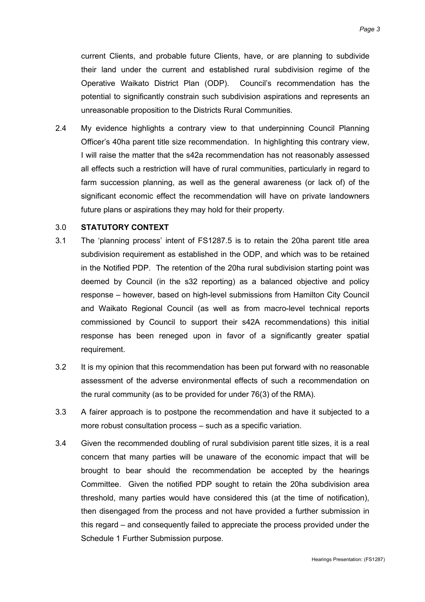current Clients, and probable future Clients, have, or are planning to subdivide their land under the current and established rural subdivision regime of the Operative Waikato District Plan (ODP). Council's recommendation has the potential to significantly constrain such subdivision aspirations and represents an unreasonable proposition to the Districts Rural Communities.

2.4 My evidence highlights a contrary view to that underpinning Council Planning Officer's 40ha parent title size recommendation. In highlighting this contrary view, I will raise the matter that the s42a recommendation has not reasonably assessed all effects such a restriction will have of rural communities, particularly in regard to farm succession planning, as well as the general awareness (or lack of) of the significant economic effect the recommendation will have on private landowners future plans or aspirations they may hold for their property.

#### 3.0 **STATUTORY CONTEXT**

- 3.1 The 'planning process' intent of FS1287.5 is to retain the 20ha parent title area subdivision requirement as established in the ODP, and which was to be retained in the Notified PDP. The retention of the 20ha rural subdivision starting point was deemed by Council (in the s32 reporting) as a balanced objective and policy response – however, based on high-level submissions from Hamilton City Council and Waikato Regional Council (as well as from macro-level technical reports commissioned by Council to support their s42A recommendations) this initial response has been reneged upon in favor of a significantly greater spatial requirement.
- 3.2 It is my opinion that this recommendation has been put forward with no reasonable assessment of the adverse environmental effects of such a recommendation on the rural community (as to be provided for under 76(3) of the RMA).
- 3.3 A fairer approach is to postpone the recommendation and have it subjected to a more robust consultation process – such as a specific variation.
- 3.4 Given the recommended doubling of rural subdivision parent title sizes, it is a real concern that many parties will be unaware of the economic impact that will be brought to bear should the recommendation be accepted by the hearings Committee. Given the notified PDP sought to retain the 20ha subdivision area threshold, many parties would have considered this (at the time of notification), then disengaged from the process and not have provided a further submission in this regard – and consequently failed to appreciate the process provided under the Schedule 1 Further Submission purpose.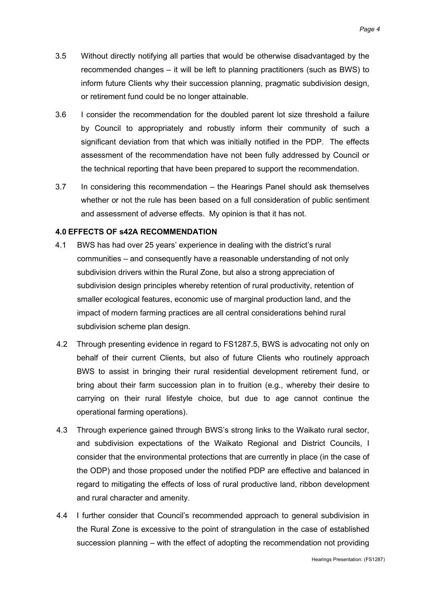- 3.5 Without directly notifying all parties that would be otherwise disadvantaged by the recommended changes – it will be left to planning practitioners (such as BWS) to inform future Clients why their succession planning, pragmatic subdivision design, or retirement fund could be no longer attainable.
- 3.6 I consider the recommendation for the doubled parent lot size threshold a failure by Council to appropriately and robustly inform their community of such a significant deviation from that which was initially notified in the PDP. The effects assessment of the recommendation have not been fully addressed by Council or the technical reporting that have been prepared to support the recommendation.
- 3.7 In considering this recommendation the Hearings Panel should ask themselves whether or not the rule has been based on a full consideration of public sentiment and assessment of adverse effects. My opinion is that it has not.

## **4.0 EFFECTS OF s42A RECOMMENDATION**

- 4.1 BWS has had over 25 years' experience in dealing with the district's rural communities – and consequently have a reasonable understanding of not only subdivision drivers within the Rural Zone, but also a strong appreciation of subdivision design principles whereby retention of rural productivity, retention of smaller ecological features, economic use of marginal production land, and the impact of modern farming practices are all central considerations behind rural subdivision scheme plan design.
- 4.2 Through presenting evidence in regard to FS1287.5, BWS is advocating not only on behalf of their current Clients, but also of future Clients who routinely approach BWS to assist in bringing their rural residential development retirement fund, or bring about their farm succession plan in to fruition (e.g., whereby their desire to carrying on their rural lifestyle choice, but due to age cannot continue the operational farming operations).
- 4.3 Through experience gained through BWS's strong links to the Waikato rural sector, and subdivision expectations of the Waikato Regional and District Councils, I consider that the environmental protections that are currently in place (in the case of the ODP) and those proposed under the notified PDP are effective and balanced in regard to mitigating the effects of loss of rural productive land, ribbon development and rural character and amenity.
- 4.4 I further consider that Council's recommended approach to general subdivision in the Rural Zone is excessive to the point of strangulation in the case of established succession planning – with the effect of adopting the recommendation not providing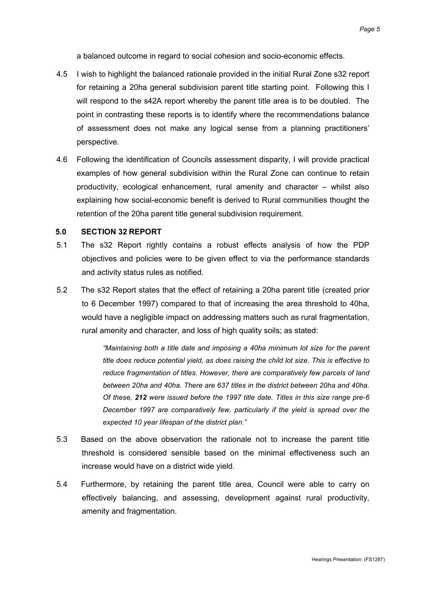a balanced outcome in regard to social cohesion and socio-economic effects.

- 4.5 I wish to highlight the balanced rationale provided in the initial Rural Zone s32 report for retaining a 20ha general subdivision parent title starting point. Following this I will respond to the s42A report whereby the parent title area is to be doubled. The point in contrasting these reports is to identify where the recommendations balance of assessment does not make any logical sense from a planning practitioners' perspective.
- 4.6 Following the identification of Councils assessment disparity, I will provide practical examples of how general subdivision within the Rural Zone can continue to retain productivity, ecological enhancement, rural amenity and character – whilst also explaining how social-economic benefit is derived to Rural communities thought the retention of the 20ha parent title general subdivision requirement.

#### **5.0 SECTION 32 REPORT**

- 5.1 The s32 Report rightly contains a robust effects analysis of how the PDP objectives and policies were to be given effect to via the performance standards and activity status rules as notified.
- 5.2 The s32 Report states that the effect of retaining a 20ha parent title (created prior to 6 December 1997) compared to that of increasing the area threshold to 40ha, would have a negligible impact on addressing matters such as rural fragmentation, rural amenity and character, and loss of high quality soils; as stated:

*"Maintaining both a title date and imposing a 40ha minimum lot size for the parent title does reduce potential yield, as does raising the child lot size. This is effective to reduce fragmentation of titles. However, there are comparatively few parcels of land between 20ha and 40ha. There are 637 titles in the district between 20ha and 40ha. Of these, 212 were issued before the 1997 title date. Titles in this size range pre-6 December 1997 are comparatively few, particularly if the yield is spread over the expected 10 year lifespan of the district plan."*

- 5.3 Based on the above observation the rationale not to increase the parent title threshold is considered sensible based on the minimal effectiveness such an increase would have on a district wide yield.
- 5.4 Furthermore, by retaining the parent title area, Council were able to carry on effectively balancing, and assessing, development against rural productivity, amenity and fragmentation.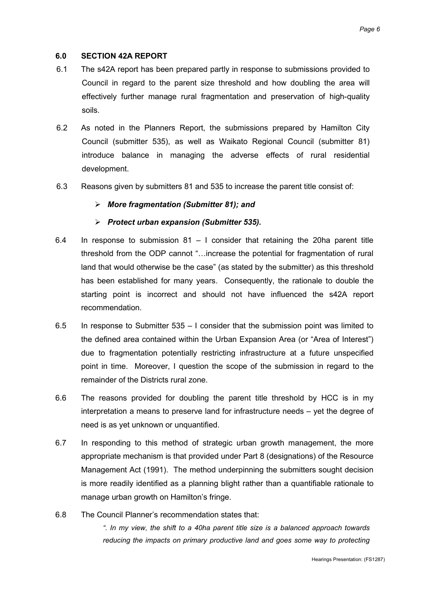## **6.0 SECTION 42A REPORT**

- 6.1 The s42A report has been prepared partly in response to submissions provided to Council in regard to the parent size threshold and how doubling the area will effectively further manage rural fragmentation and preservation of high-quality soils.
- 6.2 As noted in the Planners Report, the submissions prepared by Hamilton City Council (submitter 535), as well as Waikato Regional Council (submitter 81) introduce balance in managing the adverse effects of rural residential development.
- 6.3 Reasons given by submitters 81 and 535 to increase the parent title consist of:

## *More fragmentation (Submitter 81); and*

## *Protect urban expansion (Submitter 535).*

- 6.4 In response to submission  $81 I$  consider that retaining the 20ha parent title threshold from the ODP cannot "…increase the potential for fragmentation of rural land that would otherwise be the case" (as stated by the submitter) as this threshold has been established for many years. Consequently, the rationale to double the starting point is incorrect and should not have influenced the s42A report recommendation.
- 6.5 In response to Submitter 535 I consider that the submission point was limited to the defined area contained within the Urban Expansion Area (or "Area of Interest") due to fragmentation potentially restricting infrastructure at a future unspecified point in time. Moreover, I question the scope of the submission in regard to the remainder of the Districts rural zone.
- 6.6 The reasons provided for doubling the parent title threshold by HCC is in my interpretation a means to preserve land for infrastructure needs – yet the degree of need is as yet unknown or unquantified.
- 6.7 In responding to this method of strategic urban growth management, the more appropriate mechanism is that provided under Part 8 (designations) of the Resource Management Act (1991). The method underpinning the submitters sought decision is more readily identified as a planning blight rather than a quantifiable rationale to manage urban growth on Hamilton's fringe.
- 6.8 The Council Planner's recommendation states that:

*". In my view, the shift to a 40ha parent title size is a balanced approach towards reducing the impacts on primary productive land and goes some way to protecting*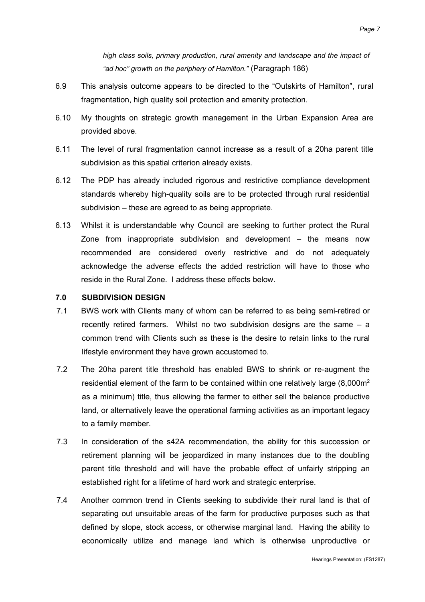*high class soils, primary production, rural amenity and landscape and the impact of "ad hoc" growth on the periphery of Hamilton."* (Paragraph 186)

- 6.9 This analysis outcome appears to be directed to the "Outskirts of Hamilton", rural fragmentation, high quality soil protection and amenity protection.
- 6.10 My thoughts on strategic growth management in the Urban Expansion Area are provided above.
- 6.11 The level of rural fragmentation cannot increase as a result of a 20ha parent title subdivision as this spatial criterion already exists.
- 6.12 The PDP has already included rigorous and restrictive compliance development standards whereby high-quality soils are to be protected through rural residential subdivision – these are agreed to as being appropriate.
- 6.13 Whilst it is understandable why Council are seeking to further protect the Rural Zone from inappropriate subdivision and development – the means now recommended are considered overly restrictive and do not adequately acknowledge the adverse effects the added restriction will have to those who reside in the Rural Zone. I address these effects below.

#### **7.0 SUBDIVISION DESIGN**

- 7.1 BWS work with Clients many of whom can be referred to as being semi-retired or recently retired farmers. Whilst no two subdivision designs are the same – a common trend with Clients such as these is the desire to retain links to the rural lifestyle environment they have grown accustomed to.
- 7.2 The 20ha parent title threshold has enabled BWS to shrink or re-augment the residential element of the farm to be contained within one relatively large  $(8,000m^2)$ as a minimum) title, thus allowing the farmer to either sell the balance productive land, or alternatively leave the operational farming activities as an important legacy to a family member.
- 7.3 In consideration of the s42A recommendation, the ability for this succession or retirement planning will be jeopardized in many instances due to the doubling parent title threshold and will have the probable effect of unfairly stripping an established right for a lifetime of hard work and strategic enterprise.
- 7.4 Another common trend in Clients seeking to subdivide their rural land is that of separating out unsuitable areas of the farm for productive purposes such as that defined by slope, stock access, or otherwise marginal land. Having the ability to economically utilize and manage land which is otherwise unproductive or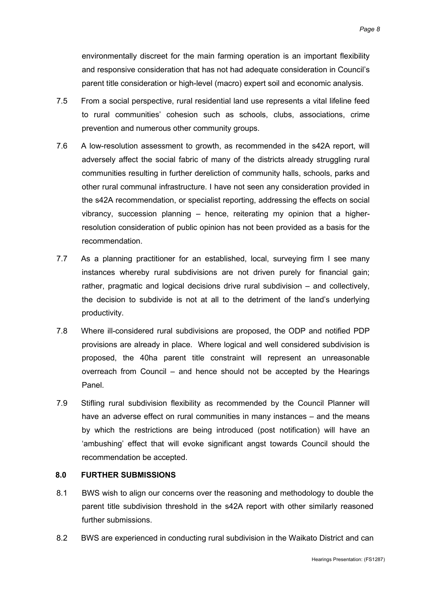environmentally discreet for the main farming operation is an important flexibility and responsive consideration that has not had adequate consideration in Council's parent title consideration or high-level (macro) expert soil and economic analysis.

- 7.5 From a social perspective, rural residential land use represents a vital lifeline feed to rural communities' cohesion such as schools, clubs, associations, crime prevention and numerous other community groups.
- 7.6 A low-resolution assessment to growth, as recommended in the s42A report, will adversely affect the social fabric of many of the districts already struggling rural communities resulting in further dereliction of community halls, schools, parks and other rural communal infrastructure. I have not seen any consideration provided in the s42A recommendation, or specialist reporting, addressing the effects on social vibrancy, succession planning – hence, reiterating my opinion that a higherresolution consideration of public opinion has not been provided as a basis for the recommendation.
- 7.7 As a planning practitioner for an established, local, surveying firm I see many instances whereby rural subdivisions are not driven purely for financial gain; rather, pragmatic and logical decisions drive rural subdivision – and collectively, the decision to subdivide is not at all to the detriment of the land's underlying productivity.
- 7.8 Where ill-considered rural subdivisions are proposed, the ODP and notified PDP provisions are already in place. Where logical and well considered subdivision is proposed, the 40ha parent title constraint will represent an unreasonable overreach from Council – and hence should not be accepted by the Hearings Panel.
- 7.9 Stifling rural subdivision flexibility as recommended by the Council Planner will have an adverse effect on rural communities in many instances – and the means by which the restrictions are being introduced (post notification) will have an 'ambushing' effect that will evoke significant angst towards Council should the recommendation be accepted.

## **8.0 FURTHER SUBMISSIONS**

- 8.1 BWS wish to align our concerns over the reasoning and methodology to double the parent title subdivision threshold in the s42A report with other similarly reasoned further submissions.
- 8.2 BWS are experienced in conducting rural subdivision in the Waikato District and can